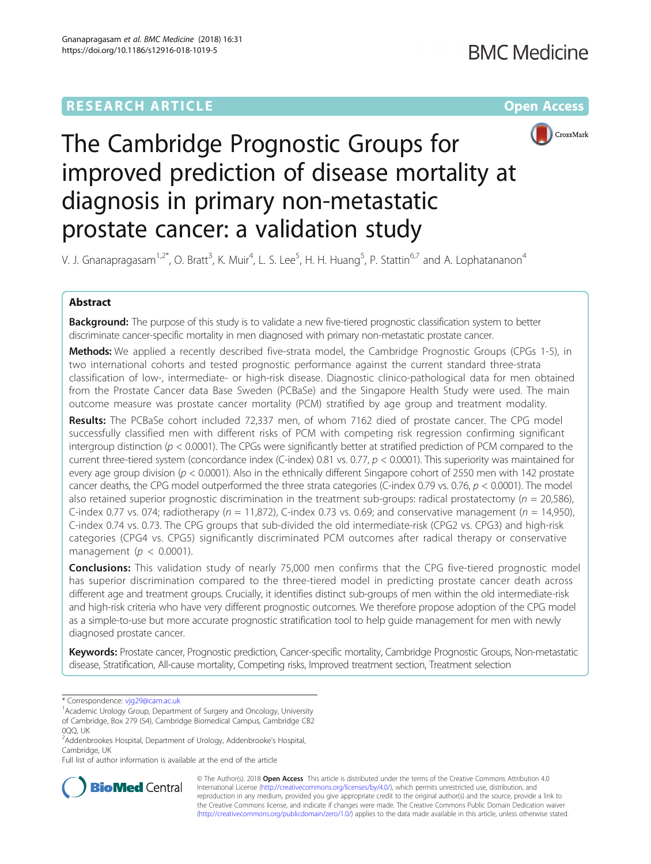

# The Cambridge Prognostic Groups for improved prediction of disease mortality at diagnosis in primary non-metastatic prostate cancer: a validation study

V. J. Gnanapragasam<sup>1,2\*</sup>, O. Bratt<sup>3</sup>, K. Muir<sup>4</sup>, L. S. Lee<sup>5</sup>, H. H. Huang<sup>5</sup>, P. Stattin<sup>6,7</sup> and A. Lophatananon<sup>4</sup>

# Abstract

Background: The purpose of this study is to validate a new five-tiered prognostic classification system to better discriminate cancer-specific mortality in men diagnosed with primary non-metastatic prostate cancer.

Methods: We applied a recently described five-strata model, the Cambridge Prognostic Groups (CPGs 1-5), in two international cohorts and tested prognostic performance against the current standard three-strata classification of low-, intermediate- or high-risk disease. Diagnostic clinico-pathological data for men obtained from the Prostate Cancer data Base Sweden (PCBaSe) and the Singapore Health Study were used. The main outcome measure was prostate cancer mortality (PCM) stratified by age group and treatment modality.

Results: The PCBaSe cohort included 72,337 men, of whom 7162 died of prostate cancer. The CPG model successfully classified men with different risks of PCM with competing risk regression confirming significant intergroup distinction ( $p < 0.0001$ ). The CPGs were significantly better at stratified prediction of PCM compared to the current three-tiered system (concordance index (C-index) 0.81 vs. 0.77,  $p < 0.0001$ ). This superiority was maintained for every age group division ( $p < 0.0001$ ). Also in the ethnically different Singapore cohort of 2550 men with 142 prostate cancer deaths, the CPG model outperformed the three strata categories (C-index 0.79 vs. 0.76,  $p < 0.0001$ ). The model also retained superior prognostic discrimination in the treatment sub-groups: radical prostatectomy ( $n = 20,586$ ), C-index 0.77 vs. 074; radiotherapy ( $n = 11,872$ ), C-index 0.73 vs. 0.69; and conservative management ( $n = 14,950$ ), C-index 0.74 vs. 0.73. The CPG groups that sub-divided the old intermediate-risk (CPG2 vs. CPG3) and high-risk categories (CPG4 vs. CPG5) significantly discriminated PCM outcomes after radical therapy or conservative management ( $p < 0.0001$ ).

**Conclusions:** This validation study of nearly 75,000 men confirms that the CPG five-tiered prognostic model has superior discrimination compared to the three-tiered model in predicting prostate cancer death across different age and treatment groups. Crucially, it identifies distinct sub-groups of men within the old intermediate-risk and high-risk criteria who have very different prognostic outcomes. We therefore propose adoption of the CPG model as a simple-to-use but more accurate prognostic stratification tool to help guide management for men with newly diagnosed prostate cancer.

Keywords: Prostate cancer, Prognostic prediction, Cancer-specific mortality, Cambridge Prognostic Groups, Non-metastatic disease, Stratification, All-cause mortality, Competing risks, Improved treatment section, Treatment selection

\* Correspondence: [vjg29@cam.ac.uk](mailto:vjg29@cam.ac.uk) <sup>1</sup>

<sup>1</sup> Academic Urology Group, Department of Surgery and Oncology, University of Cambridge, Box 279 (S4), Cambridge Biomedical Campus, Cambridge CB2

0QQ, UK

Full list of author information is available at the end of the article



© The Author(s). 2018 Open Access This article is distributed under the terms of the Creative Commons Attribution 4.0 International License [\(http://creativecommons.org/licenses/by/4.0/](http://creativecommons.org/licenses/by/4.0/)), which permits unrestricted use, distribution, and reproduction in any medium, provided you give appropriate credit to the original author(s) and the source, provide a link to the Creative Commons license, and indicate if changes were made. The Creative Commons Public Domain Dedication waiver [\(http://creativecommons.org/publicdomain/zero/1.0/](http://creativecommons.org/publicdomain/zero/1.0/)) applies to the data made available in this article, unless otherwise stated.

<sup>&</sup>lt;sup>2</sup>Addenbrookes Hospital, Department of Urology, Addenbrooke's Hospital, Cambridge, UK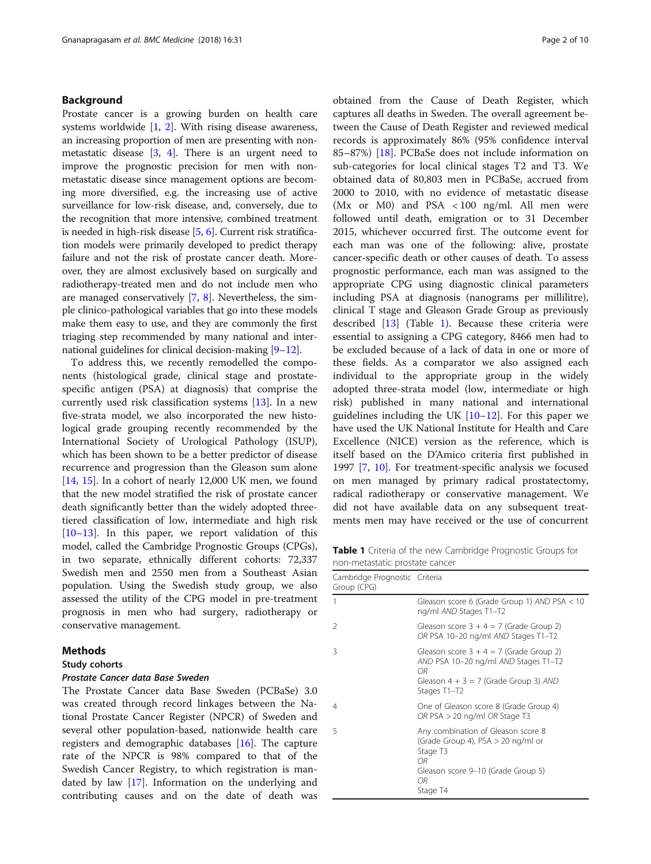# Background

Prostate cancer is a growing burden on health care systems worldwide [\[1](#page-8-0), [2\]](#page-8-0). With rising disease awareness, an increasing proportion of men are presenting with nonmetastatic disease [\[3](#page-8-0), [4\]](#page-8-0). There is an urgent need to improve the prognostic precision for men with nonmetastatic disease since management options are becoming more diversified, e.g. the increasing use of active surveillance for low-risk disease, and, conversely, due to the recognition that more intensive, combined treatment is needed in high-risk disease [\[5,](#page-8-0) [6](#page-8-0)]. Current risk stratification models were primarily developed to predict therapy failure and not the risk of prostate cancer death. Moreover, they are almost exclusively based on surgically and radiotherapy-treated men and do not include men who are managed conservatively [\[7](#page-8-0), [8\]](#page-8-0). Nevertheless, the simple clinico-pathological variables that go into these models make them easy to use, and they are commonly the first triaging step recommended by many national and inter-national guidelines for clinical decision-making [[9](#page-8-0)–[12](#page-8-0)].

To address this, we recently remodelled the components (histological grade, clinical stage and prostatespecific antigen (PSA) at diagnosis) that comprise the currently used risk classification systems [[13\]](#page-8-0). In a new five-strata model, we also incorporated the new histological grade grouping recently recommended by the International Society of Urological Pathology (ISUP), which has been shown to be a better predictor of disease recurrence and progression than the Gleason sum alone [[14,](#page-8-0) [15\]](#page-8-0). In a cohort of nearly 12,000 UK men, we found that the new model stratified the risk of prostate cancer death significantly better than the widely adopted threetiered classification of low, intermediate and high risk  $[10-13]$  $[10-13]$  $[10-13]$  $[10-13]$  $[10-13]$ . In this paper, we report validation of this model, called the Cambridge Prognostic Groups (CPGs), in two separate, ethnically different cohorts: 72,337 Swedish men and 2550 men from a Southeast Asian population. Using the Swedish study group, we also assessed the utility of the CPG model in pre-treatment prognosis in men who had surgery, radiotherapy or conservative management.

# Methods

# Study cohorts

# Prostate Cancer data Base Sweden

The Prostate Cancer data Base Sweden (PCBaSe) 3.0 was created through record linkages between the National Prostate Cancer Register (NPCR) of Sweden and several other population-based, nationwide health care registers and demographic databases [\[16](#page-8-0)]. The capture rate of the NPCR is 98% compared to that of the Swedish Cancer Registry, to which registration is mandated by law [\[17\]](#page-8-0). Information on the underlying and contributing causes and on the date of death was obtained from the Cause of Death Register, which captures all deaths in Sweden. The overall agreement between the Cause of Death Register and reviewed medical records is approximately 86% (95% confidence interval 85–87%) [\[18](#page-8-0)]. PCBaSe does not include information on sub-categories for local clinical stages T2 and T3. We obtained data of 80,803 men in PCBaSe, accrued from 2000 to 2010, with no evidence of metastatic disease (Mx or M0) and PSA < 100 ng/ml. All men were followed until death, emigration or to 31 December 2015, whichever occurred first. The outcome event for each man was one of the following: alive, prostate cancer-specific death or other causes of death. To assess prognostic performance, each man was assigned to the appropriate CPG using diagnostic clinical parameters including PSA at diagnosis (nanograms per millilitre), clinical T stage and Gleason Grade Group as previously described [[13](#page-8-0)] (Table 1). Because these criteria were essential to assigning a CPG category, 8466 men had to be excluded because of a lack of data in one or more of these fields. As a comparator we also assigned each individual to the appropriate group in the widely adopted three-strata model (low, intermediate or high risk) published in many national and international guidelines including the UK [\[10](#page-8-0)–[12\]](#page-8-0). For this paper we have used the UK National Institute for Health and Care Excellence (NICE) version as the reference, which is itself based on the D'Amico criteria first published in 1997 [\[7](#page-8-0), [10](#page-8-0)]. For treatment-specific analysis we focused on men managed by primary radical prostatectomy, radical radiotherapy or conservative management. We did not have available data on any subsequent treatments men may have received or the use of concurrent

Table 1 Criteria of the new Cambridge Prognostic Groups for non-metastatic prostate cancer

| Cambridge Prognostic Criteria<br>Group (CPG) |                                                                                                                                                        |
|----------------------------------------------|--------------------------------------------------------------------------------------------------------------------------------------------------------|
| 1                                            | Gleason score 6 (Grade Group 1) AND PSA < 10<br>ng/ml AND Stages T1-T2                                                                                 |
| $\mathcal{P}$                                | Gleason score $3 + 4 = 7$ (Grade Group 2)<br>OR PSA 10-20 ng/ml AND Stages T1-T2                                                                       |
| 3                                            | Gleason score $3 + 4 = 7$ (Grade Group 2)<br>AND PSA 10-20 ng/ml AND Stages T1-T2<br>0R.<br>Gleason $4 + 3 = 7$ (Grade Group 3) AND<br>Stages T1-T2    |
| 4                                            | One of Gleason score 8 (Grade Group 4)<br>OR PSA $>$ 20 ng/ml OR Stage T3                                                                              |
| 5                                            | Any combination of Gleason score 8<br>(Grade Group 4), $PSA > 20$ ng/ml or<br>Stage T3<br>OR.<br>Gleason score 9-10 (Grade Group 5)<br>0R.<br>Stage T4 |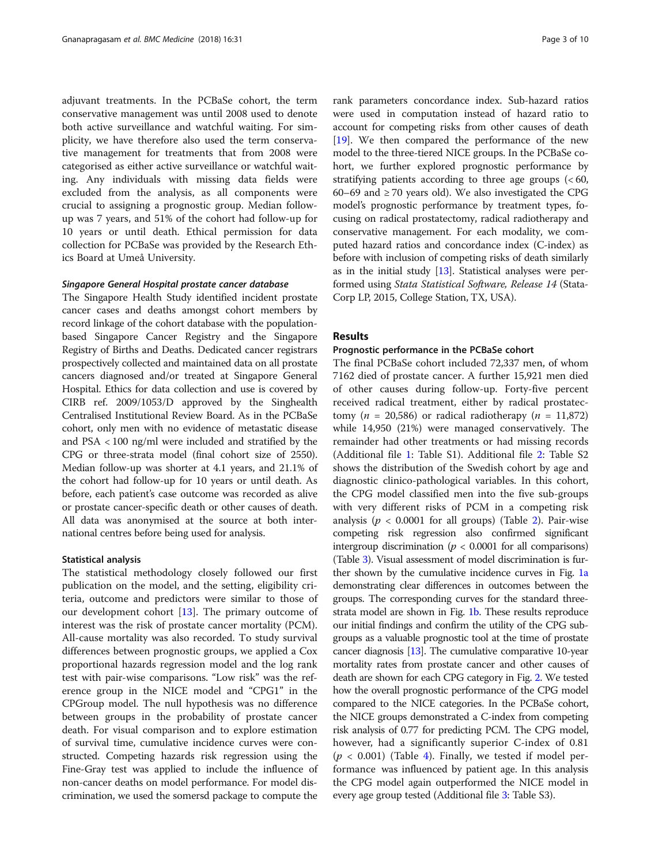adjuvant treatments. In the PCBaSe cohort, the term conservative management was until 2008 used to denote both active surveillance and watchful waiting. For simplicity, we have therefore also used the term conservative management for treatments that from 2008 were categorised as either active surveillance or watchful waiting. Any individuals with missing data fields were excluded from the analysis, as all components were crucial to assigning a prognostic group. Median followup was 7 years, and 51% of the cohort had follow-up for 10 years or until death. Ethical permission for data collection for PCBaSe was provided by the Research Ethics Board at Umeå University.

# Singapore General Hospital prostate cancer database

The Singapore Health Study identified incident prostate cancer cases and deaths amongst cohort members by record linkage of the cohort database with the populationbased Singapore Cancer Registry and the Singapore Registry of Births and Deaths. Dedicated cancer registrars prospectively collected and maintained data on all prostate cancers diagnosed and/or treated at Singapore General Hospital. Ethics for data collection and use is covered by CIRB ref. 2009/1053/D approved by the Singhealth Centralised Institutional Review Board. As in the PCBaSe cohort, only men with no evidence of metastatic disease and PSA < 100 ng/ml were included and stratified by the CPG or three-strata model (final cohort size of 2550). Median follow-up was shorter at 4.1 years, and 21.1% of the cohort had follow-up for 10 years or until death. As before, each patient's case outcome was recorded as alive or prostate cancer-specific death or other causes of death. All data was anonymised at the source at both international centres before being used for analysis.

## Statistical analysis

The statistical methodology closely followed our first publication on the model, and the setting, eligibility criteria, outcome and predictors were similar to those of our development cohort [\[13](#page-8-0)]. The primary outcome of interest was the risk of prostate cancer mortality (PCM). All-cause mortality was also recorded. To study survival differences between prognostic groups, we applied a Cox proportional hazards regression model and the log rank test with pair-wise comparisons. "Low risk" was the reference group in the NICE model and "CPG1" in the CPGroup model. The null hypothesis was no difference between groups in the probability of prostate cancer death. For visual comparison and to explore estimation of survival time, cumulative incidence curves were constructed. Competing hazards risk regression using the Fine-Gray test was applied to include the influence of non-cancer deaths on model performance. For model discrimination, we used the somersd package to compute the

rank parameters concordance index. Sub-hazard ratios were used in computation instead of hazard ratio to account for competing risks from other causes of death [[19](#page-8-0)]. We then compared the performance of the new model to the three-tiered NICE groups. In the PCBaSe cohort, we further explored prognostic performance by stratifying patients according to three age groups  $( $60$ ,$ 60–69 and ≥ 70 years old). We also investigated the CPG model's prognostic performance by treatment types, focusing on radical prostatectomy, radical radiotherapy and conservative management. For each modality, we computed hazard ratios and concordance index (C-index) as before with inclusion of competing risks of death similarly as in the initial study [\[13\]](#page-8-0). Statistical analyses were performed using Stata Statistical Software, Release 14 (Stata-Corp LP, 2015, College Station, TX, USA).

# Results

# Prognostic performance in the PCBaSe cohort

The final PCBaSe cohort included 72,337 men, of whom 7162 died of prostate cancer. A further 15,921 men died of other causes during follow-up. Forty-five percent received radical treatment, either by radical prostatectomy ( $n = 20,586$ ) or radical radiotherapy ( $n = 11,872$ ) while 14,950 (21%) were managed conservatively. The remainder had other treatments or had missing records (Additional file [1](#page-7-0): Table S1). Additional file [2](#page-7-0): Table S2 shows the distribution of the Swedish cohort by age and diagnostic clinico-pathological variables. In this cohort, the CPG model classified men into the five sub-groups with very different risks of PCM in a competing risk analysis ( $p < 0.0001$  for all groups) (Table [2\)](#page-3-0). Pair-wise competing risk regression also confirmed significant intergroup discrimination ( $p < 0.0001$  for all comparisons) (Table [3\)](#page-3-0). Visual assessment of model discrimination is fur-ther shown by the cumulative incidence curves in Fig. [1a](#page-4-0) demonstrating clear differences in outcomes between the groups. The corresponding curves for the standard threestrata model are shown in Fig. [1b](#page-4-0). These results reproduce our initial findings and confirm the utility of the CPG subgroups as a valuable prognostic tool at the time of prostate cancer diagnosis [[13\]](#page-8-0). The cumulative comparative 10-year mortality rates from prostate cancer and other causes of death are shown for each CPG category in Fig. [2](#page-5-0). We tested how the overall prognostic performance of the CPG model compared to the NICE categories. In the PCBaSe cohort, the NICE groups demonstrated a C-index from competing risk analysis of 0.77 for predicting PCM. The CPG model, however, had a significantly superior C-index of 0.81  $(p < 0.001)$  (Table [4](#page-6-0)). Finally, we tested if model performance was influenced by patient age. In this analysis the CPG model again outperformed the NICE model in every age group tested (Additional file [3](#page-7-0): Table S3).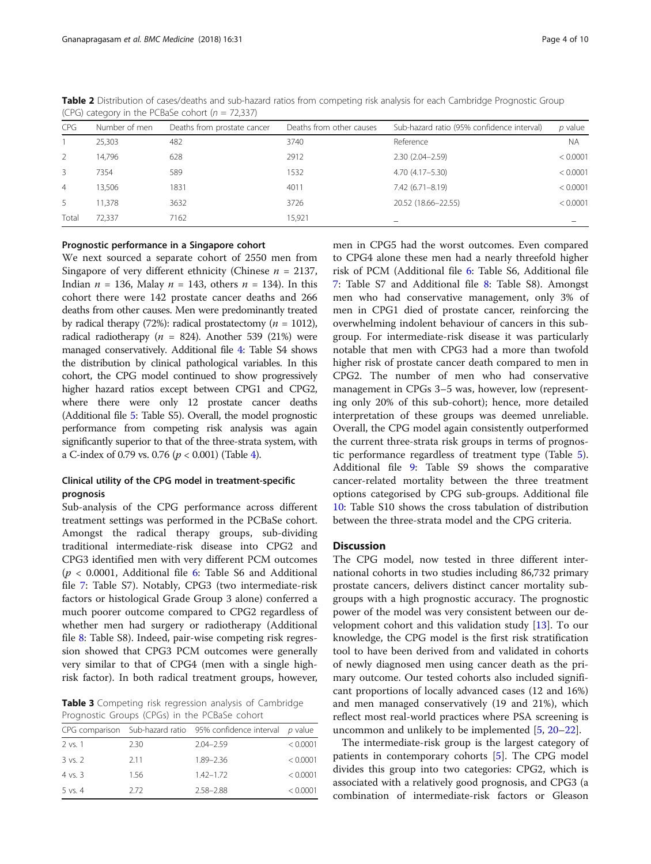| <b>CPG</b>     | Number of men | Deaths from prostate cancer | Deaths from other causes | Sub-hazard ratio (95% confidence interval) | $p$ value |
|----------------|---------------|-----------------------------|--------------------------|--------------------------------------------|-----------|
|                | 25,303        | 482                         | 3740                     | Reference                                  | <b>NA</b> |
| 2              | 14,796        | 628                         | 2912                     | $2.30(2.04 - 2.59)$                        | < 0.0001  |
| 3              | 7354          | 589                         | 1532                     | 4.70 (4.17-5.30)                           | < 0.0001  |
| $\overline{4}$ | 13.506        | 1831                        | 4011                     | $7.42(6.71 - 8.19)$                        | < 0.0001  |
| 5              | 11,378        | 3632                        | 3726                     | 20.52 (18.66-22.55)                        | < 0.0001  |
| Total          | 72.337        | 7162                        | 15,921                   |                                            |           |

<span id="page-3-0"></span>Table 2 Distribution of cases/deaths and sub-hazard ratios from competing risk analysis for each Cambridge Prognostic Group (CPG) category in the PCBaSe cohort ( $n = 72,337$ )

# Prognostic performance in a Singapore cohort

We next sourced a separate cohort of 2550 men from Singapore of very different ethnicity (Chinese  $n = 2137$ , Indian  $n = 136$ , Malay  $n = 143$ , others  $n = 134$ ). In this cohort there were 142 prostate cancer deaths and 266 deaths from other causes. Men were predominantly treated by radical therapy (72%): radical prostatectomy ( $n = 1012$ ), radical radiotherapy ( $n = 824$ ). Another 539 (21%) were managed conservatively. Additional file [4](#page-7-0): Table S4 shows the distribution by clinical pathological variables. In this cohort, the CPG model continued to show progressively higher hazard ratios except between CPG1 and CPG2, where there were only 12 prostate cancer deaths (Additional file [5](#page-7-0): Table S5). Overall, the model prognostic performance from competing risk analysis was again significantly superior to that of the three-strata system, with a C-index of 0.79 vs. 0.76 ( $p < 0.001$ ) (Table [4](#page-6-0)).

# Clinical utility of the CPG model in treatment-specific prognosis

Sub-analysis of the CPG performance across different treatment settings was performed in the PCBaSe cohort. Amongst the radical therapy groups, sub-dividing traditional intermediate-risk disease into CPG2 and CPG3 identified men with very different PCM outcomes  $(p < 0.0001,$  Additional file [6](#page-7-0): Table S6 and Additional file [7](#page-7-0): Table S7). Notably, CPG3 (two intermediate-risk factors or histological Grade Group 3 alone) conferred a much poorer outcome compared to CPG2 regardless of whether men had surgery or radiotherapy (Additional file [8:](#page-7-0) Table S8). Indeed, pair-wise competing risk regression showed that CPG3 PCM outcomes were generally very similar to that of CPG4 (men with a single highrisk factor). In both radical treatment groups, however,

Table 3 Competing risk regression analysis of Cambridge Prognostic Groups (CPGs) in the PCBaSe cohort

|                    |      | CPG comparison Sub-hazard ratio 95% confidence interval p value |          |
|--------------------|------|-----------------------------------------------------------------|----------|
| 2 vs. 1            | 2.30 | $2.04 - 2.59$                                                   | < 0.0001 |
| 3 vs. 2            | 2.11 | 1.89-2.36                                                       | < 0.0001 |
| $4 \text{ vs. } 3$ | 1.56 | $1.42 - 1.72$                                                   | < 0.0001 |
| $5$ vs. $4$        | 2.72 | $2.58 - 2.88$                                                   | < 0.0001 |
|                    |      |                                                                 |          |

men in CPG5 had the worst outcomes. Even compared to CPG4 alone these men had a nearly threefold higher risk of PCM (Additional file [6:](#page-7-0) Table S6, Additional file [7:](#page-7-0) Table S7 and Additional file [8:](#page-7-0) Table S8). Amongst men who had conservative management, only 3% of men in CPG1 died of prostate cancer, reinforcing the overwhelming indolent behaviour of cancers in this subgroup. For intermediate-risk disease it was particularly notable that men with CPG3 had a more than twofold higher risk of prostate cancer death compared to men in CPG2. The number of men who had conservative management in CPGs 3–5 was, however, low (representing only 20% of this sub-cohort); hence, more detailed interpretation of these groups was deemed unreliable. Overall, the CPG model again consistently outperformed the current three-strata risk groups in terms of prognostic performance regardless of treatment type (Table [5](#page-6-0)). Additional file [9:](#page-7-0) Table S9 shows the comparative cancer-related mortality between the three treatment options categorised by CPG sub-groups. Additional file [10:](#page-7-0) Table S10 shows the cross tabulation of distribution between the three-strata model and the CPG criteria.

# Discussion

The CPG model, now tested in three different international cohorts in two studies including 86,732 primary prostate cancers, delivers distinct cancer mortality subgroups with a high prognostic accuracy. The prognostic power of the model was very consistent between our development cohort and this validation study [[13](#page-8-0)]. To our knowledge, the CPG model is the first risk stratification tool to have been derived from and validated in cohorts of newly diagnosed men using cancer death as the primary outcome. Our tested cohorts also included significant proportions of locally advanced cases (12 and 16%) and men managed conservatively (19 and 21%), which reflect most real-world practices where PSA screening is uncommon and unlikely to be implemented [\[5](#page-8-0), [20](#page-8-0)–[22\]](#page-8-0).

The intermediate-risk group is the largest category of patients in contemporary cohorts [[5\]](#page-8-0). The CPG model divides this group into two categories: CPG2, which is associated with a relatively good prognosis, and CPG3 (a combination of intermediate-risk factors or Gleason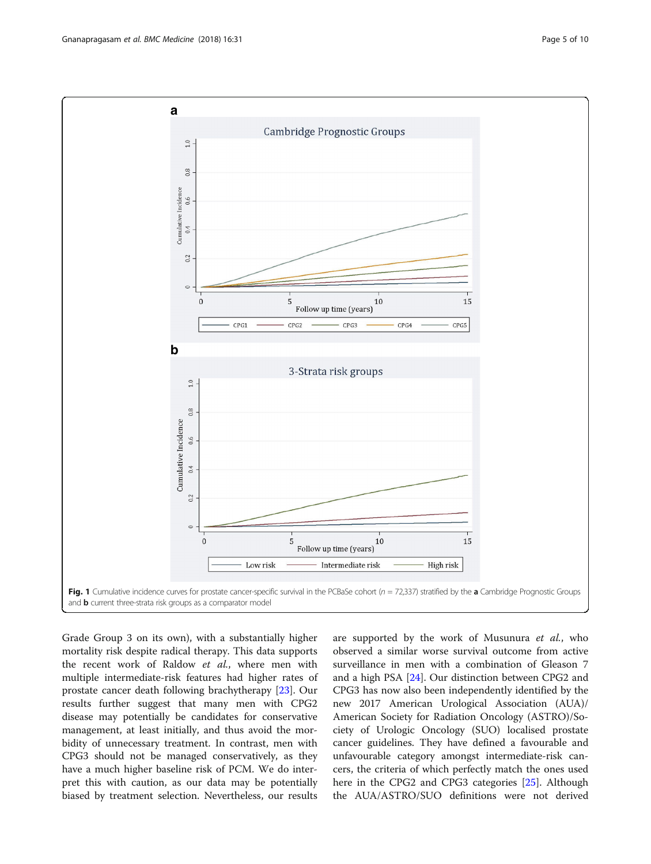<span id="page-4-0"></span>

Grade Group 3 on its own), with a substantially higher mortality risk despite radical therapy. This data supports the recent work of Raldow et al., where men with multiple intermediate-risk features had higher rates of prostate cancer death following brachytherapy [\[23](#page-8-0)]. Our results further suggest that many men with CPG2 disease may potentially be candidates for conservative management, at least initially, and thus avoid the morbidity of unnecessary treatment. In contrast, men with CPG3 should not be managed conservatively, as they have a much higher baseline risk of PCM. We do interpret this with caution, as our data may be potentially biased by treatment selection. Nevertheless, our results

are supported by the work of Musunura et al., who observed a similar worse survival outcome from active surveillance in men with a combination of Gleason 7 and a high PSA [[24\]](#page-8-0). Our distinction between CPG2 and CPG3 has now also been independently identified by the new 2017 American Urological Association (AUA)/ American Society for Radiation Oncology (ASTRO)/Society of Urologic Oncology (SUO) localised prostate cancer guidelines. They have defined a favourable and unfavourable category amongst intermediate-risk cancers, the criteria of which perfectly match the ones used here in the CPG2 and CPG3 categories [[25\]](#page-8-0). Although the AUA/ASTRO/SUO definitions were not derived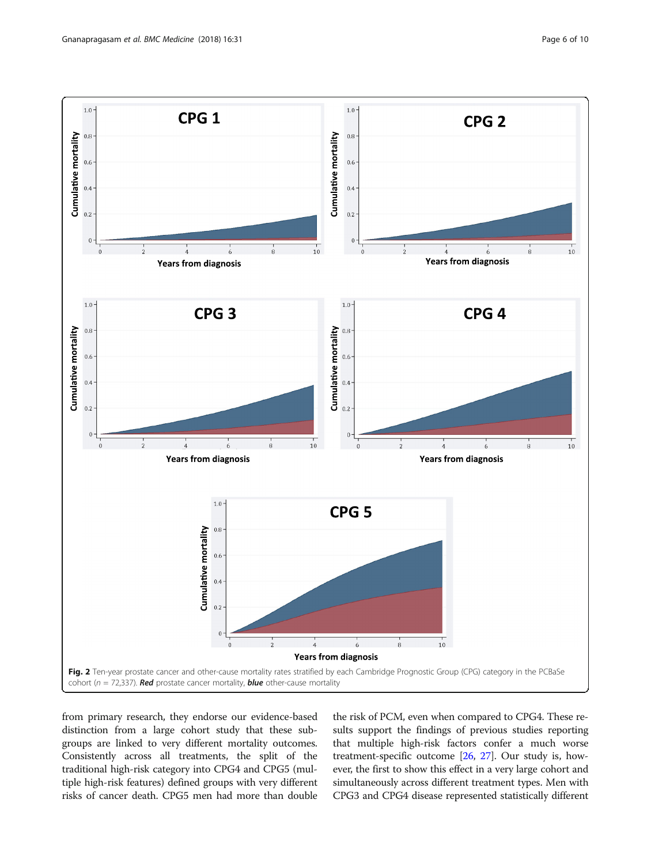<span id="page-5-0"></span>

from primary research, they endorse our evidence-based distinction from a large cohort study that these subgroups are linked to very different mortality outcomes. Consistently across all treatments, the split of the traditional high-risk category into CPG4 and CPG5 (multiple high-risk features) defined groups with very different risks of cancer death. CPG5 men had more than double

the risk of PCM, even when compared to CPG4. These results support the findings of previous studies reporting that multiple high-risk factors confer a much worse treatment-specific outcome [[26](#page-8-0), [27](#page-8-0)]. Our study is, however, the first to show this effect in a very large cohort and simultaneously across different treatment types. Men with CPG3 and CPG4 disease represented statistically different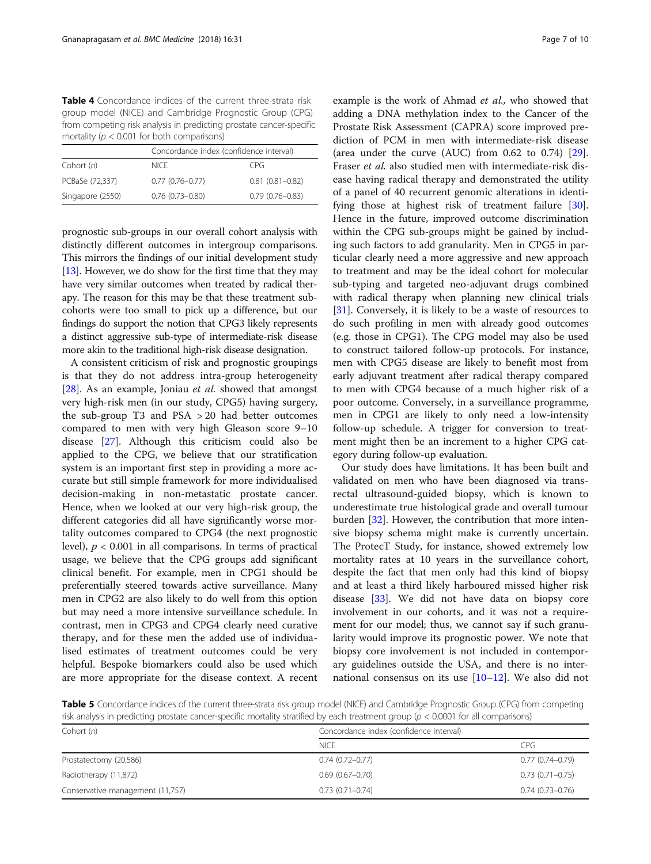<span id="page-6-0"></span>Table 4 Concordance indices of the current three-strata risk group model (NICE) and Cambridge Prognostic Group (CPG) from competing risk analysis in predicting prostate cancer-specific mortality ( $p < 0.001$  for both comparisons)

|                  | Concordance index (confidence interval) |                     |
|------------------|-----------------------------------------|---------------------|
| Cohort (n)       | <b>NICE</b>                             | CPG.                |
| PCBaSe (72,337)  | $0.77(0.76 - 0.77)$                     | $0.81(0.81 - 0.82)$ |
| Singapore (2550) | $0.76(0.73 - 0.80)$                     | $0.79(0.76 - 0.83)$ |

prognostic sub-groups in our overall cohort analysis with distinctly different outcomes in intergroup comparisons. This mirrors the findings of our initial development study [[13](#page-8-0)]. However, we do show for the first time that they may have very similar outcomes when treated by radical therapy. The reason for this may be that these treatment subcohorts were too small to pick up a difference, but our findings do support the notion that CPG3 likely represents a distinct aggressive sub-type of intermediate-risk disease more akin to the traditional high-risk disease designation.

A consistent criticism of risk and prognostic groupings is that they do not address intra-group heterogeneity [ $28$ ]. As an example, Joniau *et al.* showed that amongst very high-risk men (in our study, CPG5) having surgery, the sub-group T3 and PSA > 20 had better outcomes compared to men with very high Gleason score 9–10 disease [[27\]](#page-8-0). Although this criticism could also be applied to the CPG, we believe that our stratification system is an important first step in providing a more accurate but still simple framework for more individualised decision-making in non-metastatic prostate cancer. Hence, when we looked at our very high-risk group, the different categories did all have significantly worse mortality outcomes compared to CPG4 (the next prognostic level),  $p < 0.001$  in all comparisons. In terms of practical usage, we believe that the CPG groups add significant clinical benefit. For example, men in CPG1 should be preferentially steered towards active surveillance. Many men in CPG2 are also likely to do well from this option but may need a more intensive surveillance schedule. In contrast, men in CPG3 and CPG4 clearly need curative therapy, and for these men the added use of individualised estimates of treatment outcomes could be very helpful. Bespoke biomarkers could also be used which are more appropriate for the disease context. A recent example is the work of Ahmad et al., who showed that adding a DNA methylation index to the Cancer of the Prostate Risk Assessment (CAPRA) score improved prediction of PCM in men with intermediate-risk disease (area under the curve (AUC) from 0.62 to 0.74) [\[29](#page-8-0)]. Fraser et al. also studied men with intermediate-risk disease having radical therapy and demonstrated the utility of a panel of 40 recurrent genomic alterations in identifying those at highest risk of treatment failure [\[30](#page-8-0)]. Hence in the future, improved outcome discrimination within the CPG sub-groups might be gained by including such factors to add granularity. Men in CPG5 in particular clearly need a more aggressive and new approach to treatment and may be the ideal cohort for molecular sub-typing and targeted neo-adjuvant drugs combined with radical therapy when planning new clinical trials [[31\]](#page-9-0). Conversely, it is likely to be a waste of resources to do such profiling in men with already good outcomes (e.g. those in CPG1). The CPG model may also be used to construct tailored follow-up protocols. For instance, men with CPG5 disease are likely to benefit most from early adjuvant treatment after radical therapy compared to men with CPG4 because of a much higher risk of a poor outcome. Conversely, in a surveillance programme, men in CPG1 are likely to only need a low-intensity follow-up schedule. A trigger for conversion to treatment might then be an increment to a higher CPG category during follow-up evaluation.

Our study does have limitations. It has been built and validated on men who have been diagnosed via transrectal ultrasound-guided biopsy, which is known to underestimate true histological grade and overall tumour burden [\[32](#page-9-0)]. However, the contribution that more intensive biopsy schema might make is currently uncertain. The ProtecT Study, for instance, showed extremely low mortality rates at 10 years in the surveillance cohort, despite the fact that men only had this kind of biopsy and at least a third likely harboured missed higher risk disease [[33\]](#page-9-0). We did not have data on biopsy core involvement in our cohorts, and it was not a requirement for our model; thus, we cannot say if such granularity would improve its prognostic power. We note that biopsy core involvement is not included in contemporary guidelines outside the USA, and there is no international consensus on its use  $[10-12]$  $[10-12]$  $[10-12]$ . We also did not

Table 5 Concordance indices of the current three-strata risk group model (NICE) and Cambridge Prognostic Group (CPG) from competing risk analysis in predicting prostate cancer-specific mortality stratified by each treatment group ( $p < 0.0001$  for all comparisons)

| Cohort $(n)$                     | Concordance index (confidence interval) |                     |
|----------------------------------|-----------------------------------------|---------------------|
|                                  | <b>NICE</b>                             | CPG                 |
| Prostatectomy (20,586)           | $0.74(0.72 - 0.77)$                     | $0.77(0.74 - 0.79)$ |
| Radiotherapy (11,872)            | $0.69(0.67 - 0.70)$                     | $0.73(0.71 - 0.75)$ |
| Conservative management (11,757) | $0.73(0.71 - 0.74)$                     | $0.74(0.73 - 0.76)$ |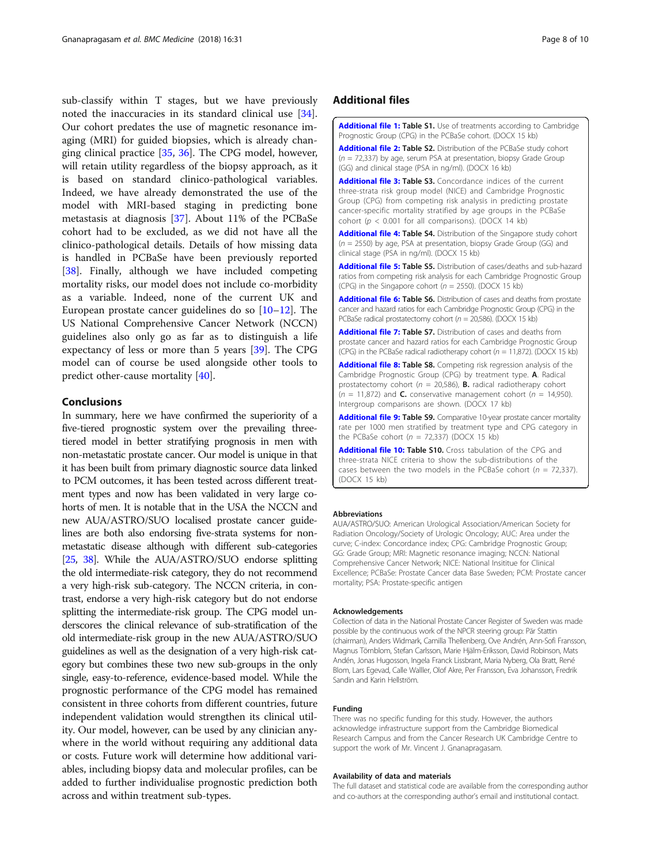<span id="page-7-0"></span>sub-classify within T stages, but we have previously noted the inaccuracies in its standard clinical use [\[34](#page-9-0)]. Our cohort predates the use of magnetic resonance imaging (MRI) for guided biopsies, which is already changing clinical practice [\[35,](#page-9-0) [36](#page-9-0)]. The CPG model, however, will retain utility regardless of the biopsy approach, as it is based on standard clinico-pathological variables. Indeed, we have already demonstrated the use of the model with MRI-based staging in predicting bone metastasis at diagnosis [\[37](#page-9-0)]. About 11% of the PCBaSe cohort had to be excluded, as we did not have all the clinico-pathological details. Details of how missing data is handled in PCBaSe have been previously reported [[38\]](#page-9-0). Finally, although we have included competing mortality risks, our model does not include co-morbidity as a variable. Indeed, none of the current UK and European prostate cancer guidelines do so [[10](#page-8-0)–[12\]](#page-8-0). The US National Comprehensive Cancer Network (NCCN) guidelines also only go as far as to distinguish a life expectancy of less or more than 5 years [\[39\]](#page-9-0). The CPG model can of course be used alongside other tools to predict other-cause mortality [[40\]](#page-9-0).

# Conclusions

In summary, here we have confirmed the superiority of a five-tiered prognostic system over the prevailing threetiered model in better stratifying prognosis in men with non-metastatic prostate cancer. Our model is unique in that it has been built from primary diagnostic source data linked to PCM outcomes, it has been tested across different treatment types and now has been validated in very large cohorts of men. It is notable that in the USA the NCCN and new AUA/ASTRO/SUO localised prostate cancer guidelines are both also endorsing five-strata systems for nonmetastatic disease although with different sub-categories [[25,](#page-8-0) [38](#page-9-0)]. While the AUA/ASTRO/SUO endorse splitting the old intermediate-risk category, they do not recommend a very high-risk sub-category. The NCCN criteria, in contrast, endorse a very high-risk category but do not endorse splitting the intermediate-risk group. The CPG model underscores the clinical relevance of sub-stratification of the old intermediate-risk group in the new AUA/ASTRO/SUO guidelines as well as the designation of a very high-risk category but combines these two new sub-groups in the only single, easy-to-reference, evidence-based model. While the prognostic performance of the CPG model has remained consistent in three cohorts from different countries, future independent validation would strengthen its clinical utility. Our model, however, can be used by any clinician anywhere in the world without requiring any additional data or costs. Future work will determine how additional variables, including biopsy data and molecular profiles, can be added to further individualise prognostic prediction both across and within treatment sub-types.

# Additional files

[Additional file 1:](https://doi.org/10.1186/s12916-018-1019-5) Table S1. Use of treatments according to Cambridge Prognostic Group (CPG) in the PCBaSe cohort. (DOCX 15 kb)

[Additional file 2:](https://doi.org/10.1186/s12916-018-1019-5) Table S2. Distribution of the PCBaSe study cohort  $(n = 72,337)$  by age, serum PSA at presentation, biopsy Grade Group (GG) and clinical stage (PSA in ng/ml). (DOCX 16 kb)

[Additional file 3:](https://doi.org/10.1186/s12916-018-1019-5) Table S3. Concordance indices of the current three-strata risk group model (NICE) and Cambridge Prognostic Group (CPG) from competing risk analysis in predicting prostate cancer-specific mortality stratified by age groups in the PCBaSe cohort ( $p < 0.001$  for all comparisons). (DOCX 14 kb)

[Additional file 4:](https://doi.org/10.1186/s12916-018-1019-5) Table S4. Distribution of the Singapore study cohort  $(n = 2550)$  by age, PSA at presentation, biopsy Grade Group (GG) and clinical stage (PSA in ng/ml). (DOCX 15 kb)

[Additional file 5:](https://doi.org/10.1186/s12916-018-1019-5) Table S5. Distribution of cases/deaths and sub-hazard ratios from competing risk analysis for each Cambridge Prognostic Group (CPG) in the Singapore cohort ( $n = 2550$ ). (DOCX 15 kb)

[Additional file 6:](https://doi.org/10.1186/s12916-018-1019-5) Table S6. Distribution of cases and deaths from prostate cancer and hazard ratios for each Cambridge Prognostic Group (CPG) in the PCBaSe radical prostatectomy cohort ( $n = 20,586$ ). (DOCX 15 kb)

[Additional file 7:](https://doi.org/10.1186/s12916-018-1019-5) Table S7. Distribution of cases and deaths from prostate cancer and hazard ratios for each Cambridge Prognostic Group (CPG) in the PCBaSe radical radiotherapy cohort ( $n = 11,872$ ). (DOCX 15 kb)

[Additional file 8:](https://doi.org/10.1186/s12916-018-1019-5) Table S8. Competing risk regression analysis of the Cambridge Prognostic Group (CPG) by treatment type. A. Radical prostatectomy cohort ( $n = 20,586$ ), **B.** radical radiotherapy cohort  $(n = 11,872)$  and **C.** conservative management cohort  $(n = 14,950)$ . Intergroup comparisons are shown. (DOCX 17 kb)

[Additional file 9:](https://doi.org/10.1186/s12916-018-1019-5) Table S9. Comparative 10-year prostate cancer mortality rate per 1000 men stratified by treatment type and CPG category in the PCBaSe cohort ( $n = 72,337$ ) (DOCX 15 kb)

[Additional file 10:](https://doi.org/10.1186/s12916-018-1019-5) Table S10. Cross tabulation of the CPG and three-strata NICE criteria to show the sub-distributions of the cases between the two models in the PCBaSe cohort ( $n = 72,337$ ). (DOCX 15 kb)

#### Abbreviations

AUA/ASTRO/SUO: American Urological Association/American Society for Radiation Oncology/Society of Urologic Oncology; AUC: Area under the curve; C-index: Concordance index; CPG: Cambridge Prognostic Group; GG: Grade Group; MRI: Magnetic resonance imaging; NCCN: National Comprehensive Cancer Network; NICE: National Insititue for Clinical Excellence; PCBaSe: Prostate Cancer data Base Sweden; PCM: Prostate cancer mortality; PSA: Prostate-specific antigen

#### Acknowledgements

Collection of data in the National Prostate Cancer Register of Sweden was made possible by the continuous work of the NPCR steering group: Pär Stattin (chairman), Anders Widmark, Camilla Thellenberg, Ove Andrén, Ann-Sofi Fransson, Magnus Törnblom, Stefan Carlsson, Marie Hjälm-Eriksson, David Robinson, Mats Andén, Jonas Hugosson, Ingela Franck Lissbrant, Maria Nyberg, Ola Bratt, René Blom, Lars Egevad, Calle Walller, Olof Akre, Per Fransson, Eva Johansson, Fredrik Sandin and Karin Hellström.

#### Funding

There was no specific funding for this study. However, the authors acknowledge infrastructure support from the Cambridge Biomedical Research Campus and from the Cancer Research UK Cambridge Centre to support the work of Mr. Vincent J. Gnanapragasam.

#### Availability of data and materials

The full dataset and statistical code are available from the corresponding author and co-authors at the corresponding author's email and institutional contact.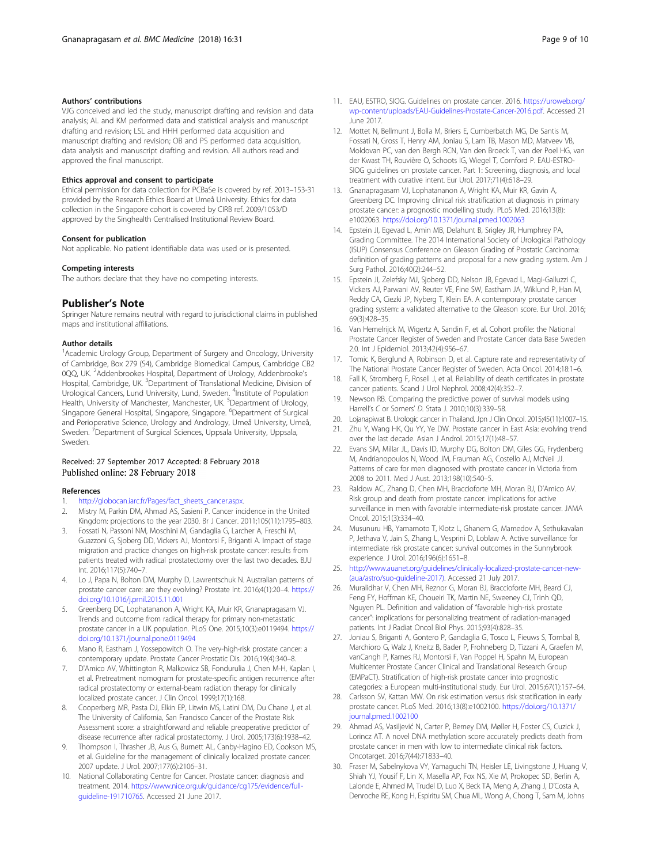# <span id="page-8-0"></span>Authors' contributions

VJG conceived and led the study, manuscript drafting and revision and data analysis; AL and KM performed data and statistical analysis and manuscript drafting and revision; LSL and HHH performed data acquisition and manuscript drafting and revision; OB and PS performed data acquisition, data analysis and manuscript drafting and revision. All authors read and approved the final manuscript.

#### Ethics approval and consent to participate

Ethical permission for data collection for PCBaSe is covered by ref. 2013–153-31 provided by the Research Ethics Board at Umeå University. Ethics for data collection in the Singapore cohort is covered by CIRB ref. 2009/1053/D approved by the Singhealth Centralised Institutional Review Board.

#### Consent for publication

Not applicable. No patient identifiable data was used or is presented.

#### Competing interests

The authors declare that they have no competing interests.

# Publisher's Note

Springer Nature remains neutral with regard to jurisdictional claims in published maps and institutional affiliations.

#### Author details

<sup>1</sup> Academic Urology Group, Department of Surgery and Oncology, University of Cambridge, Box 279 (S4), Cambridge Biomedical Campus, Cambridge CB2 0QQ, UK. <sup>2</sup>Addenbrookes Hospital, Department of Urology, Addenbrooke's Hospital, Cambridge, UK. <sup>3</sup>Department of Translational Medicine, Division of Urological Cancers, Lund University, Lund, Sweden. <sup>4</sup>Institute of Population Health, University of Manchester, Manchester, UK. <sup>5</sup>Department of Urology, Singapore General Hospital, Singapore, Singapore. <sup>6</sup>Department of Surgical and Perioperative Science, Urology and Andrology, Umeå University, Umeå, Sweden. <sup>7</sup> Department of Surgical Sciences, Uppsala University, Uppsala, Sweden.

# Received: 27 September 2017 Accepted: 8 February 2018 Published online: 28 February 2018

#### References

- [http://globocan.iarc.fr/Pages/fact\\_sheets\\_cancer.aspx](http://globocan.iarc.fr/Pages/fact_sheets_cancer.aspx).
- 2. Mistry M, Parkin DM, Ahmad AS, Sasieni P. Cancer incidence in the United Kingdom: projections to the year 2030. Br J Cancer. 2011;105(11):1795–803.
- 3. Fossati N, Passoni NM, Moschini M, Gandaglia G, Larcher A, Freschi M, Guazzoni G, Sjoberg DD, Vickers AJ, Montorsi F, Briganti A. Impact of stage migration and practice changes on high-risk prostate cancer: results from patients treated with radical prostatectomy over the last two decades. BJU Int. 2016;117(5):740–7.
- 4. Lo J, Papa N, Bolton DM, Murphy D, Lawrentschuk N. Australian patterns of prostate cancer care: are they evolving? Prostate Int. 2016;4(1):20–4. [https://](https://doi.org/10.1016/j.prnil.2015.11.001) [doi.org/10.1016/j.prnil.2015.11.001](https://doi.org/10.1016/j.prnil.2015.11.001)
- 5. Greenberg DC, Lophatananon A, Wright KA, Muir KR, Gnanapragasam VJ. Trends and outcome from radical therapy for primary non-metastatic prostate cancer in a UK population. PLoS One. 2015;10(3):e0119494. [https://](https://doi.org/10.1371/journal.pone.0119494) [doi.org/10.1371/journal.pone.0119494](https://doi.org/10.1371/journal.pone.0119494)
- 6. Mano R, Eastham J, Yossepowitch O. The very-high-risk prostate cancer: a contemporary update. Prostate Cancer Prostatic Dis. 2016;19(4):340–8.
- 7. D'Amico AV, Whittington R, Malkowicz SB, Fondurulia J, Chen M-H, Kaplan I, et al. Pretreatment nomogram for prostate-specific antigen recurrence after radical prostatectomy or external-beam radiation therapy for clinically localized prostate cancer. J Clin Oncol. 1999;17(1):168.
- Cooperberg MR, Pasta DJ, Elkin EP, Litwin MS, Latini DM, Du Chane J, et al. The University of California, San Francisco Cancer of the Prostate Risk Assessment score: a straightforward and reliable preoperative predictor of disease recurrence after radical prostatectomy. J Urol. 2005;173(6):1938–42.
- 9. Thompson I, Thrasher JB, Aus G, Burnett AL, Canby-Hagino ED, Cookson MS, et al. Guideline for the management of clinically localized prostate cancer: 2007 update. J Urol. 2007;177(6):2106–31.
- 10. National Collaborating Centre for Cancer. Prostate cancer: diagnosis and treatment. 2014. [https://www.nice.org.uk/guidance/cg175/evidence/full](https://www.nice.org.uk/guidance/cg175/evidence/full-guideline-191710765)[guideline-191710765.](https://www.nice.org.uk/guidance/cg175/evidence/full-guideline-191710765) Accessed 21 June 2017.
- 11. EAU, ESTRO, SIOG. Guidelines on prostate cancer. 2016. [https://uroweb.org/](https://uroweb.org/wp-content/uploads/EAU-Guidelines-Prostate-Cancer-2016.pdf) [wp-content/uploads/EAU-Guidelines-Prostate-Cancer-2016.pdf](https://uroweb.org/wp-content/uploads/EAU-Guidelines-Prostate-Cancer-2016.pdf). Accessed 21 June 2017.
- 12. Mottet N, Bellmunt J, Bolla M, Briers E, Cumberbatch MG, De Santis M, Fossati N, Gross T, Henry AM, Joniau S, Lam TB, Mason MD, Matveev VB, Moldovan PC, van den Bergh RCN, Van den Broeck T, van der Poel HG, van der Kwast TH, Rouvière O, Schoots IG, Wiegel T, Cornford P. EAU-ESTRO-SIOG guidelines on prostate cancer. Part 1: Screening, diagnosis, and local treatment with curative intent. Eur Urol. 2017;71(4):618–29.
- 13. Gnanapragasam VJ, Lophatananon A, Wright KA, Muir KR, Gavin A, Greenberg DC. Improving clinical risk stratification at diagnosis in primary prostate cancer: a prognostic modelling study. PLoS Med. 2016;13(8): e1002063. <https://doi.org/10.1371/journal.pmed.1002063>
- 14. Epstein JI, Egevad L, Amin MB, Delahunt B, Srigley JR, Humphrey PA, Grading Committee. The 2014 International Society of Urological Pathology (ISUP) Consensus Conference on Gleason Grading of Prostatic Carcinoma: definition of grading patterns and proposal for a new grading system. Am J Surg Pathol. 2016;40(2):244–52.
- 15. Epstein JI, Zelefsky MJ, Sjoberg DD, Nelson JB, Egevad L, Magi-Galluzzi C, Vickers AJ, Parwani AV, Reuter VE, Fine SW, Eastham JA, Wiklund P, Han M, Reddy CA, Ciezki JP, Nyberg T, Klein EA. A contemporary prostate cancer grading system: a validated alternative to the Gleason score. Eur Urol. 2016; 69(3):428–35.
- 16. Van Hemelrijck M, Wigertz A, Sandin F, et al. Cohort profile: the National Prostate Cancer Register of Sweden and Prostate Cancer data Base Sweden 2.0. Int J Epidemiol. 2013;42(4):956–67.
- 17. Tomic K, Berglund A, Robinson D, et al. Capture rate and representativity of The National Prostate Cancer Register of Sweden. Acta Oncol. 2014;18:1–6.
- 18. Fall K, Stromberg F, Rosell J, et al. Reliability of death certificates in prostate cancer patients. Scand J Urol Nephrol. 2008;42(4):352–7.
- 19. Newson RB. Comparing the predictive power of survival models using Harrell's C or Somers' D. Stata J. 2010;10(3):339–58.
- 20. Lojanapiwat B. Urologic cancer in Thailand. Jpn J Clin Oncol. 2015;45(11):1007–15.
- 21. Zhu Y, Wang HK, Qu YY, Ye DW. Prostate cancer in East Asia: evolving trend over the last decade. Asian J Androl. 2015;17(1):48–57.
- 22. Evans SM, Millar JL, Davis ID, Murphy DG, Bolton DM, Giles GG, Frydenberg M, Andrianopoulos N, Wood JM, Frauman AG, Costello AJ, McNeil JJ. Patterns of care for men diagnosed with prostate cancer in Victoria from 2008 to 2011. Med J Aust. 2013;198(10):540–5.
- 23. Raldow AC, Zhang D, Chen MH, Braccioforte MH, Moran BJ, D'Amico AV. Risk group and death from prostate cancer: implications for active surveillance in men with favorable intermediate-risk prostate cancer. JAMA Oncol. 2015;1(3):334–40.
- 24. Musunuru HB, Yamamoto T, Klotz L, Ghanem G, Mamedov A, Sethukavalan P, Jethava V, Jain S, Zhang L, Vesprini D, Loblaw A. Active surveillance for intermediate risk prostate cancer: survival outcomes in the Sunnybrook experience. J Urol. 2016;196(6):1651–8.
- 25. [http://www.auanet.org/guidelines/clinically-localized-prostate-cancer-new-](http://www.auanet.org/guidelines/clinically-localized-prostate-cancer-new-(aua/astro/suo-guideline-2017)) [\(aua/astro/suo-guideline-2017\).](http://www.auanet.org/guidelines/clinically-localized-prostate-cancer-new-(aua/astro/suo-guideline-2017)) Accessed 21 July 2017.
- 26. Muralidhar V, Chen MH, Reznor G, Moran BJ, Braccioforte MH, Beard CJ, Feng FY, Hoffman KE, Choueiri TK, Martin NE, Sweeney CJ, Trinh QD, Nguyen PL. Definition and validation of "favorable high-risk prostate cancer": implications for personalizing treatment of radiation-managed patients. Int J Radiat Oncol Biol Phys. 2015;93(4):828–35.
- 27. Joniau S, Briganti A, Gontero P, Gandaglia G, Tosco L, Fieuws S, Tombal B, Marchioro G, Walz J, Kneitz B, Bader P, Frohneberg D, Tizzani A, Graefen M, vanCangh P, Karnes RJ, Montorsi F, Van Poppel H, Spahn M, European Multicenter Prostate Cancer Clinical and Translational Research Group (EMPaCT). Stratification of high-risk prostate cancer into prognostic categories: a European multi-institutional study. Eur Urol. 2015;67(1):157–64.
- 28. Carlsson SV, Kattan MW. On risk estimation versus risk stratification in early prostate cancer. PLoS Med. 2016;13(8):e1002100. [https://doi.org/10.1371/](https://doi.org/10.1371/journal.pmed.1002100) [journal.pmed.1002100](https://doi.org/10.1371/journal.pmed.1002100)
- 29. Ahmad AS, Vasiljević N, Carter P, Berney DM, Møller H, Foster CS, Cuzick J, Lorincz AT. A novel DNA methylation score accurately predicts death from prostate cancer in men with low to intermediate clinical risk factors. Oncotarget. 2016;7(44):71833–40.
- 30. Fraser M, Sabelnykova VY, Yamaguchi TN, Heisler LE, Livingstone J, Huang V, Shiah YJ, Yousif F, Lin X, Masella AP, Fox NS, Xie M, Prokopec SD, Berlin A, Lalonde E, Ahmed M, Trudel D, Luo X, Beck TA, Meng A, Zhang J, D'Costa A, Denroche RE, Kong H, Espiritu SM, Chua ML, Wong A, Chong T, Sam M, Johns